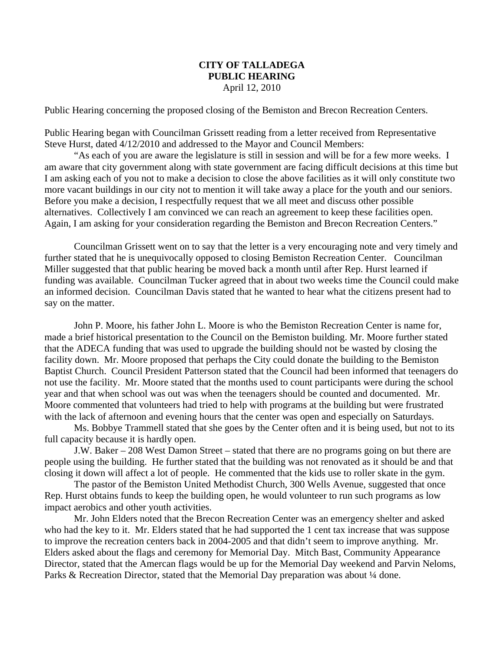## **CITY OF TALLADEGA PUBLIC HEARING** April 12, 2010

Public Hearing concerning the proposed closing of the Bemiston and Brecon Recreation Centers.

Public Hearing began with Councilman Grissett reading from a letter received from Representative Steve Hurst, dated 4/12/2010 and addressed to the Mayor and Council Members:

"As each of you are aware the legislature is still in session and will be for a few more weeks. I am aware that city government along with state government are facing difficult decisions at this time but I am asking each of you not to make a decision to close the above facilities as it will only constitute two more vacant buildings in our city not to mention it will take away a place for the youth and our seniors. Before you make a decision, I respectfully request that we all meet and discuss other possible alternatives. Collectively I am convinced we can reach an agreement to keep these facilities open. Again, I am asking for your consideration regarding the Bemiston and Brecon Recreation Centers."

Councilman Grissett went on to say that the letter is a very encouraging note and very timely and further stated that he is unequivocally opposed to closing Bemiston Recreation Center. Councilman Miller suggested that that public hearing be moved back a month until after Rep. Hurst learned if funding was available. Councilman Tucker agreed that in about two weeks time the Council could make an informed decision. Councilman Davis stated that he wanted to hear what the citizens present had to say on the matter.

John P. Moore, his father John L. Moore is who the Bemiston Recreation Center is name for, made a brief historical presentation to the Council on the Bemiston building. Mr. Moore further stated that the ADECA funding that was used to upgrade the building should not be wasted by closing the facility down. Mr. Moore proposed that perhaps the City could donate the building to the Bemiston Baptist Church. Council President Patterson stated that the Council had been informed that teenagers do not use the facility. Mr. Moore stated that the months used to count participants were during the school year and that when school was out was when the teenagers should be counted and documented. Mr. Moore commented that volunteers had tried to help with programs at the building but were frustrated with the lack of afternoon and evening hours that the center was open and especially on Saturdays.

Ms. Bobbye Trammell stated that she goes by the Center often and it is being used, but not to its full capacity because it is hardly open.

J.W. Baker – 208 West Damon Street – stated that there are no programs going on but there are people using the building. He further stated that the building was not renovated as it should be and that closing it down will affect a lot of people. He commented that the kids use to roller skate in the gym.

The pastor of the Bemiston United Methodist Church, 300 Wells Avenue, suggested that once Rep. Hurst obtains funds to keep the building open, he would volunteer to run such programs as low impact aerobics and other youth activities.

Mr. John Elders noted that the Brecon Recreation Center was an emergency shelter and asked who had the key to it. Mr. Elders stated that he had supported the 1 cent tax increase that was suppose to improve the recreation centers back in 2004-2005 and that didn't seem to improve anything. Mr. Elders asked about the flags and ceremony for Memorial Day. Mitch Bast, Community Appearance Director, stated that the Amercan flags would be up for the Memorial Day weekend and Parvin Neloms, Parks & Recreation Director, stated that the Memorial Day preparation was about <sup>1</sup>/4 done.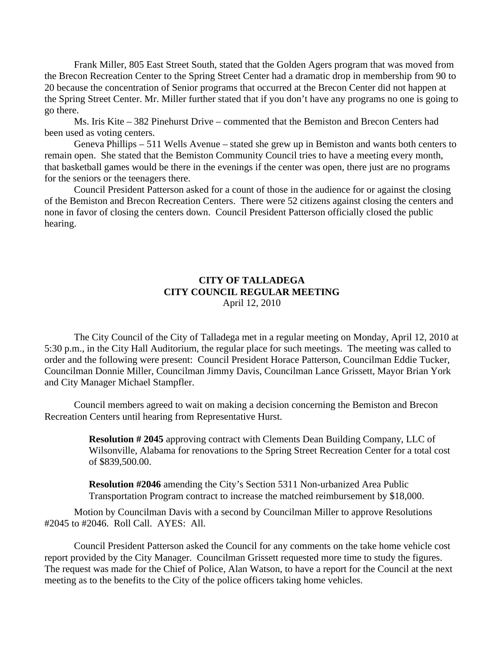Frank Miller, 805 East Street South, stated that the Golden Agers program that was moved from the Brecon Recreation Center to the Spring Street Center had a dramatic drop in membership from 90 to 20 because the concentration of Senior programs that occurred at the Brecon Center did not happen at the Spring Street Center. Mr. Miller further stated that if you don't have any programs no one is going to go there.

Ms. Iris Kite – 382 Pinehurst Drive – commented that the Bemiston and Brecon Centers had been used as voting centers.

Geneva Phillips – 511 Wells Avenue – stated she grew up in Bemiston and wants both centers to remain open. She stated that the Bemiston Community Council tries to have a meeting every month, that basketball games would be there in the evenings if the center was open, there just are no programs for the seniors or the teenagers there.

Council President Patterson asked for a count of those in the audience for or against the closing of the Bemiston and Brecon Recreation Centers. There were 52 citizens against closing the centers and none in favor of closing the centers down. Council President Patterson officially closed the public hearing.

## **CITY OF TALLADEGA CITY COUNCIL REGULAR MEETING** April 12, 2010

The City Council of the City of Talladega met in a regular meeting on Monday, April 12, 2010 at 5:30 p.m., in the City Hall Auditorium, the regular place for such meetings. The meeting was called to order and the following were present: Council President Horace Patterson, Councilman Eddie Tucker, Councilman Donnie Miller, Councilman Jimmy Davis, Councilman Lance Grissett, Mayor Brian York and City Manager Michael Stampfler.

Council members agreed to wait on making a decision concerning the Bemiston and Brecon Recreation Centers until hearing from Representative Hurst.

> **Resolution # 2045** approving contract with Clements Dean Building Company, LLC of Wilsonville, Alabama for renovations to the Spring Street Recreation Center for a total cost of \$839,500.00.

**Resolution #2046** amending the City's Section 5311 Non-urbanized Area Public Transportation Program contract to increase the matched reimbursement by \$18,000.

Motion by Councilman Davis with a second by Councilman Miller to approve Resolutions #2045 to #2046. Roll Call. AYES: All.

Council President Patterson asked the Council for any comments on the take home vehicle cost report provided by the City Manager. Councilman Grissett requested more time to study the figures. The request was made for the Chief of Police, Alan Watson, to have a report for the Council at the next meeting as to the benefits to the City of the police officers taking home vehicles.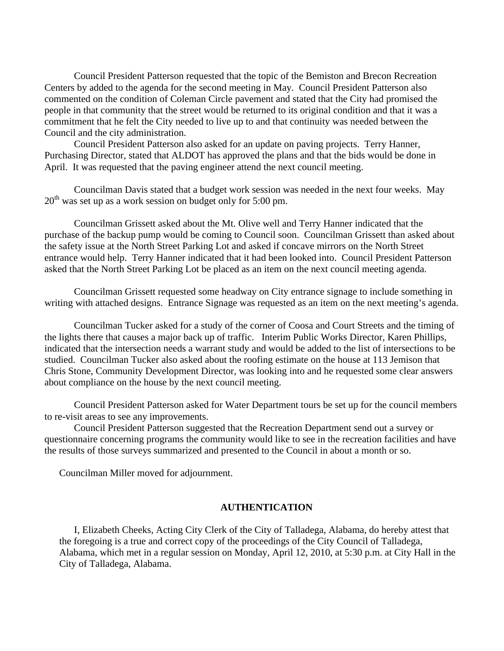Council President Patterson requested that the topic of the Bemiston and Brecon Recreation Centers by added to the agenda for the second meeting in May. Council President Patterson also commented on the condition of Coleman Circle pavement and stated that the City had promised the people in that community that the street would be returned to its original condition and that it was a commitment that he felt the City needed to live up to and that continuity was needed between the Council and the city administration.

Council President Patterson also asked for an update on paving projects. Terry Hanner, Purchasing Director, stated that ALDOT has approved the plans and that the bids would be done in April. It was requested that the paving engineer attend the next council meeting.

Councilman Davis stated that a budget work session was needed in the next four weeks. May  $20<sup>th</sup>$  was set up as a work session on budget only for 5:00 pm.

Councilman Grissett asked about the Mt. Olive well and Terry Hanner indicated that the purchase of the backup pump would be coming to Council soon. Councilman Grissett than asked about the safety issue at the North Street Parking Lot and asked if concave mirrors on the North Street entrance would help. Terry Hanner indicated that it had been looked into. Council President Patterson asked that the North Street Parking Lot be placed as an item on the next council meeting agenda.

Councilman Grissett requested some headway on City entrance signage to include something in writing with attached designs. Entrance Signage was requested as an item on the next meeting's agenda.

Councilman Tucker asked for a study of the corner of Coosa and Court Streets and the timing of the lights there that causes a major back up of traffic. Interim Public Works Director, Karen Phillips, indicated that the intersection needs a warrant study and would be added to the list of intersections to be studied. Councilman Tucker also asked about the roofing estimate on the house at 113 Jemison that Chris Stone, Community Development Director, was looking into and he requested some clear answers about compliance on the house by the next council meeting.

Council President Patterson asked for Water Department tours be set up for the council members to re-visit areas to see any improvements.

Council President Patterson suggested that the Recreation Department send out a survey or questionnaire concerning programs the community would like to see in the recreation facilities and have the results of those surveys summarized and presented to the Council in about a month or so.

Councilman Miller moved for adjournment.

## **AUTHENTICATION**

I, Elizabeth Cheeks, Acting City Clerk of the City of Talladega, Alabama, do hereby attest that the foregoing is a true and correct copy of the proceedings of the City Council of Talladega, Alabama, which met in a regular session on Monday, April 12, 2010, at 5:30 p.m. at City Hall in the City of Talladega, Alabama.